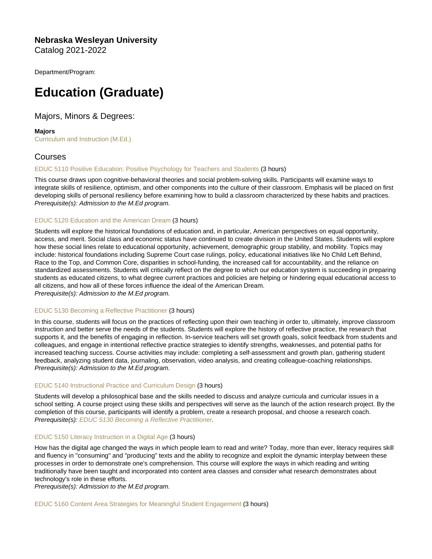Nebraska Wesleyan University Catalog 2021-2022

Department/Program:

# Education (Graduate)

Majors, Minors & Degrees:

Majors [Curriculum and Instruction \(M.Ed.\)](https://catalog.nebrwesleyan.edu/cc/2021-2022/mmd/363379)

# Courses

# [EDUC 5110 Positive Education: Positive Psychology for Teachers and Students](https://catalog.nebrwesleyan.edu/node/362895) (3 hours)

This course draws upon cognitive-behavioral theories and social problem-solving skills. Participants will examine ways to integrate skills of resilience, optimism, and other components into the culture of their classroom. Emphasis will be placed on first developing skills of personal resiliency before examining how to build a classroom characterized by these habits and practices. Prerequisite(s): Admission to the M.Ed program.

## [EDUC 5120 Education and the American Dream](https://catalog.nebrwesleyan.edu/node/362896) (3 hours)

Students will explore the historical foundations of education and, in particular, American perspectives on equal opportunity, access, and merit. Social class and economic status have continued to create division in the United States. Students will explore how these social lines relate to educational opportunity, achievement, demographic group stability, and mobility. Topics may include: historical foundations including Supreme Court case rulings, policy, educational initiatives like No Child Left Behind, Race to the Top, and Common Core, disparities in school-funding, the increased call for accountability, and the reliance on standardized assessments. Students will critically reflect on the degree to which our education system is succeeding in preparing students as educated citizens, to what degree current practices and policies are helping or hindering equal educational access to all citizens, and how all of these forces influence the ideal of the American Dream. Prerequisite(s): Admission to the M.Ed program.

#### [EDUC 5130 Becoming a Reflective Practitioner](https://catalog.nebrwesleyan.edu/node/362897) (3 hours)

In this course, students will focus on the practices of reflecting upon their own teaching in order to, ultimately, improve classroom instruction and better serve the needs of the students. Students will explore the history of reflective practice, the research that supports it, and the benefits of engaging in reflection. In-service teachers will set growth goals, solicit feedback from students and colleagues, and engage in intentional reflective practice strategies to identify strengths, weaknesses, and potential paths for increased teaching success. Course activities may include: completing a self-assessment and growth plan, gathering student feedback, analyzing student data, journaling, observation, video analysis, and creating colleague-coaching relationships. Prerequisite(s): Admission to the M.Ed program.

#### [EDUC 5140 Instructional Practice and Curriculum Design](https://catalog.nebrwesleyan.edu/node/362898) (3 hours)

Students will develop a philosophical base and the skills needed to discuss and analyze curricula and curricular issues in a school setting. A course project using these skills and perspectives will serve as the launch of the action research project. By the completion of this course, participants will identify a problem, create a research proposal, and choose a research coach. Prerequisite(s): [EDUC 5130 Becoming a Reflective Practitioner.](https://catalog.nebrwesleyan.edu/cc/2021-2022/course/362897)

# [EDUC 5150 Literacy Instruction in a Digital Age](https://catalog.nebrwesleyan.edu/node/362912) (3 hours)

How has the digital age changed the ways in which people learn to read and write? Today, more than ever, literacy requires skill and fluency in "consuming" and "producing" texts and the ability to recognize and exploit the dynamic interplay between these processes in order to demonstrate one's comprehension. This course will explore the ways in which reading and writing traditionally have been taught and incorporated into content area classes and consider what research demonstrates about technology's role in these efforts.

Prerequisite(s): Admission to the M.Ed program.

[EDUC 5160 Content Area Strategies for Meaningful Student Engagement](https://catalog.nebrwesleyan.edu/node/362913) (3 hours)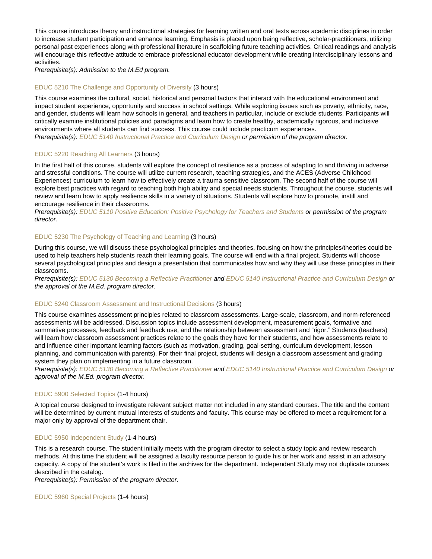This course introduces theory and instructional strategies for learning written and oral texts across academic disciplines in order to increase student participation and enhance learning. Emphasis is placed upon being reflective, scholar-practitioners, utilizing personal past experiences along with professional literature in scaffolding future teaching activities. Critical readings and analysis will encourage this reflective attitude to embrace professional educator development while creating interdisciplinary lessons and activities.

Prerequisite(s): Admission to the M.Ed program.

#### [EDUC 5210 The Challenge and Opportunity of Diversity](https://catalog.nebrwesleyan.edu/node/362944) (3 hours)

This course examines the cultural, social, historical and personal factors that interact with the educational environment and impact student experience, opportunity and success in school settings. While exploring issues such as poverty, ethnicity, race, and gender, students will learn how schools in general, and teachers in particular, include or exclude students. Participants will critically examine institutional policies and paradigms and learn how to create healthy, academically rigorous, and inclusive environments where all students can find success. This course could include practicum experiences. Prerequisite(s): [EDUC 5140 Instructional Practice and Curriculum Design](https://catalog.nebrwesleyan.edu/cc/2021-2022/course/362898) or permission of the program director.

#### [EDUC 5220 Reaching All Learners](https://catalog.nebrwesleyan.edu/node/362945) (3 hours)

In the first half of this course, students will explore the concept of resilience as a process of adapting to and thriving in adverse and stressful conditions. The course will utilize current research, teaching strategies, and the ACES (Adverse Childhood Experiences) curriculum to learn how to effectively create a trauma sensitive classroom. The second half of the course will explore best practices with regard to teaching both high ability and special needs students. Throughout the course, students will review and learn how to apply resilience skills in a variety of situations. Students will explore how to promote, instill and encourage resilience in their classrooms.

Prerequisite(s): [EDUC 5110 Positive Education: Positive Psychology for Teachers and Students](https://catalog.nebrwesleyan.edu/cc/2021-2022/course/362895) or permission of the program director.

#### [EDUC 5230 The Psychology of Teaching and Learning](https://catalog.nebrwesleyan.edu/node/362951) (3 hours)

During this course, we will discuss these psychological principles and theories, focusing on how the principles/theories could be used to help teachers help students reach their learning goals. The course will end with a final project. Students will choose several psychological principles and design a presentation that communicates how and why they will use these principles in their classrooms.

Prerequisite(s): [EDUC 5130 Becoming a Reflective Practitioner](https://catalog.nebrwesleyan.edu/cc/2021-2022/course/362897) and [EDUC 5140 Instructional Practice and Curriculum Design](https://catalog.nebrwesleyan.edu/cc/2021-2022/course/362898) or the approval of the M.Ed. program director.

#### [EDUC 5240 Classroom Assessment and Instructional Decisions](https://catalog.nebrwesleyan.edu/node/362950) (3 hours)

This course examines assessment principles related to classroom assessments. Large-scale, classroom, and norm-referenced assessments will be addressed. Discussion topics include assessment development, measurement goals, formative and summative processes, feedback and feedback use, and the relationship between assessment and "rigor." Students (teachers) will learn how classroom assessment practices relate to the goals they have for their students, and how assessments relate to and influence other important learning factors (such as motivation, grading, goal-setting, curriculum development, lesson planning, and communication with parents). For their final project, students will design a classroom assessment and grading system they plan on implementing in a future classroom.

Prerequisite(s): [EDUC 5130 Becoming a Reflective Practitioner](https://catalog.nebrwesleyan.edu/cc/2021-2022/course/362897) and [EDUC 5140 Instructional Practice and Curriculum Design](https://catalog.nebrwesleyan.edu/cc/2021-2022/course/362898) or approval of the M.Ed. program director.

#### [EDUC 5900 Selected Topics](https://catalog.nebrwesleyan.edu/node/361804) (1-4 hours)

A topical course designed to investigate relevant subject matter not included in any standard courses. The title and the content will be determined by current mutual interests of students and faculty. This course may be offered to meet a requirement for a major only by approval of the department chair.

#### [EDUC 5950 Independent Study](https://catalog.nebrwesleyan.edu/node/362942) (1-4 hours)

This is a research course. The student initially meets with the program director to select a study topic and review research methods. At this time the student will be assigned a faculty resource person to guide his or her work and assist in an advisory capacity. A copy of the student's work is filed in the archives for the department. Independent Study may not duplicate courses described in the catalog.

Prerequisite(s): Permission of the program director.

[EDUC 5960 Special Projects](https://catalog.nebrwesleyan.edu/node/362943) (1-4 hours)